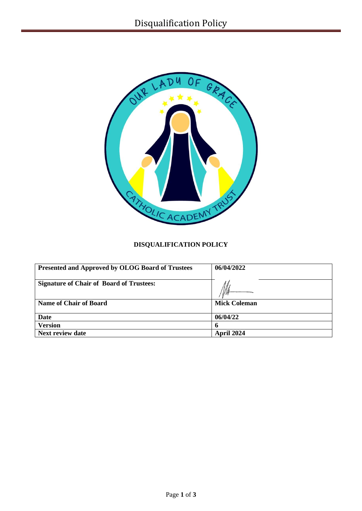

# **DISQUALIFICATION POLICY**

| <b>Presented and Approved by OLOG Board of Trustees</b> | 06/04/2022   |
|---------------------------------------------------------|--------------|
| <b>Signature of Chair of Board of Trustees:</b>         |              |
| <b>Name of Chair of Board</b>                           | Mick Coleman |
| <b>Date</b>                                             | 06/04/22     |
| <b>Version</b>                                          |              |
| <b>Next review date</b>                                 | April 2024   |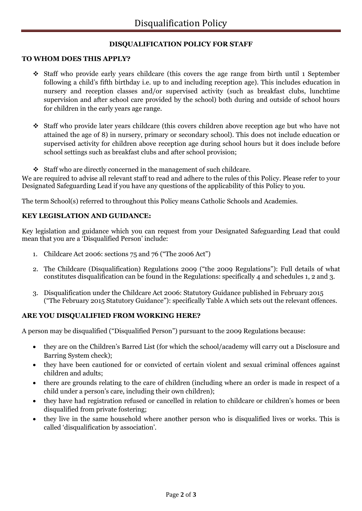# **DISQUALIFICATION POLICY FOR STAFF**

#### **TO WHOM DOES THIS APPLY?**

- $\div$  Staff who provide early years childcare (this covers the age range from birth until 1 September following a child's fifth birthday i.e. up to and including reception age). This includes education in nursery and reception classes and/or supervised activity (such as breakfast clubs, lunchtime supervision and after school care provided by the school) both during and outside of school hours for children in the early years age range.
- Staff who provide later years childcare (this covers children above reception age but who have not attained the age of 8) in nursery, primary or secondary school). This does not include education or supervised activity for children above reception age during school hours but it does include before school settings such as breakfast clubs and after school provision;
- Staff who are directly concerned in the management of such childcare.

We are required to advise all relevant staff to read and adhere to the rules of this Policy. Please refer to your Designated Safeguarding Lead if you have any questions of the applicability of this Policy to you.

The term School(s) referred to throughout this Policy means Catholic Schools and Academies.

## **KEY LEGISLATION AND GUIDANCE:**

Key legislation and guidance which you can request from your Designated Safeguarding Lead that could mean that you are a 'Disqualified Person' include:

- 1. Childcare Act 2006: sections 75 and 76 ("The 2006 Act")
- 2. The Childcare (Disqualification) Regulations 2009 ("the 2009 Regulations"): Full details of what constitutes disqualification can be found in th[e Regulations: specifically 4](http://www.legislation.gov.uk/uksi/2009/1547/regulation/4/made) and schedules 1, 2 and 3.
- 3. Disqualification under the Childcare Act 2006: Statutory Guidance published in February 2015 ("The February 2015 Statutory Guidance"): specifically Table A which sets out the relevant offences.

# **ARE YOU DISQUALIFIED FROM WORKING HERE?**

A person may be disqualified ("Disqualified Person") pursuant to the 2009 Regulations because:

- they are on the Children's Barred List (for which the school/academy will carry out a Disclosure and Barring System check);
- they have been cautioned for or convicted of certain violent and sexual criminal offences against children and adults;
- there are grounds relating to the care of children (including where an order is made in respect of a child under a person's care, including their own children);
- they have had registration refused or cancelled in relation to childcare or children's homes or been disqualified from private fostering;
- they live in the same household where another person who is disqualified lives or works. This is called 'disqualification by association'.